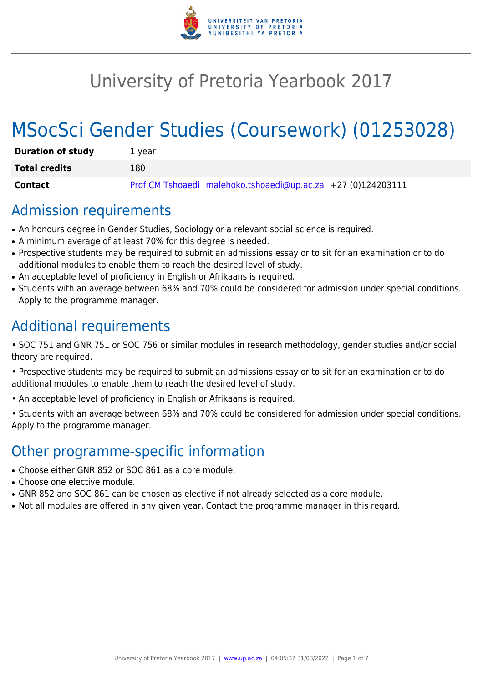

# University of Pretoria Yearbook 2017

# MSocSci Gender Studies (Coursework) (01253028)

| <b>Duration of study</b> | 1 vear                                                       |
|--------------------------|--------------------------------------------------------------|
| <b>Total credits</b>     | 180                                                          |
| Contact                  | Prof CM Tshoaedi malehoko.tshoaedi@up.ac.za +27 (0)124203111 |

# Admission requirements

- An honours degree in Gender Studies, Sociology or a relevant social science is required.
- A minimum average of at least 70% for this degree is needed.
- Prospective students may be required to submit an admissions essay or to sit for an examination or to do additional modules to enable them to reach the desired level of study.
- An acceptable level of proficiency in English or Afrikaans is required.
- Students with an average between 68% and 70% could be considered for admission under special conditions. Apply to the programme manager.

# Additional requirements

- SOC 751 and GNR 751 or SOC 756 or similar modules in research methodology, gender studies and/or social theory are required.
- Prospective students may be required to submit an admissions essay or to sit for an examination or to do additional modules to enable them to reach the desired level of study.
- An acceptable level of proficiency in English or Afrikaans is required.
- Students with an average between 68% and 70% could be considered for admission under special conditions. Apply to the programme manager.

# Other programme-specific information

- Choose either GNR 852 or SOC 861 as a core module.
- Choose one elective module.
- GNR 852 and SOC 861 can be chosen as elective if not already selected as a core module.
- Not all modules are offered in any given year. Contact the programme manager in this regard.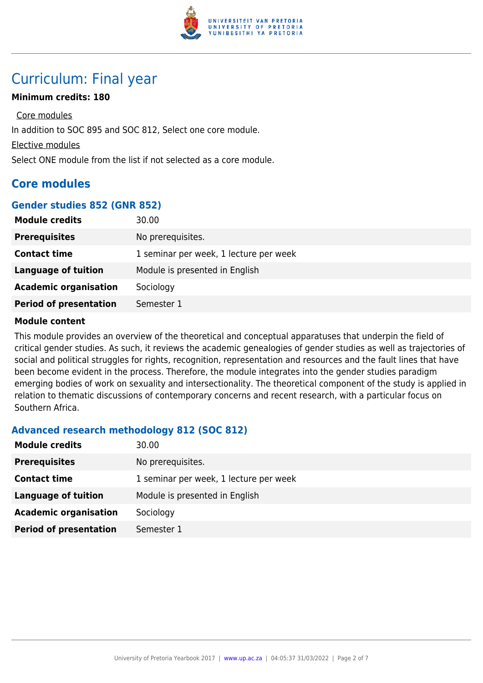

# Curriculum: Final year

### **Minimum credits: 180**

Core modules In addition to SOC 895 and SOC 812, Select one core module. Elective modules Select ONE module from the list if not selected as a core module.

# **Core modules**

#### **Gender studies 852 (GNR 852)**

| <b>Module credits</b>         | 30.00                                  |
|-------------------------------|----------------------------------------|
| <b>Prerequisites</b>          | No prerequisites.                      |
| <b>Contact time</b>           | 1 seminar per week, 1 lecture per week |
| <b>Language of tuition</b>    | Module is presented in English         |
| <b>Academic organisation</b>  | Sociology                              |
| <b>Period of presentation</b> | Semester 1                             |

#### **Module content**

This module provides an overview of the theoretical and conceptual apparatuses that underpin the field of critical gender studies. As such, it reviews the academic genealogies of gender studies as well as trajectories of social and political struggles for rights, recognition, representation and resources and the fault lines that have been become evident in the process. Therefore, the module integrates into the gender studies paradigm emerging bodies of work on sexuality and intersectionality. The theoretical component of the study is applied in relation to thematic discussions of contemporary concerns and recent research, with a particular focus on Southern Africa.

# **Advanced research methodology 812 (SOC 812)**

| <b>Module credits</b>         | 30.00                                  |
|-------------------------------|----------------------------------------|
| <b>Prerequisites</b>          | No prerequisites.                      |
| <b>Contact time</b>           | 1 seminar per week, 1 lecture per week |
| <b>Language of tuition</b>    | Module is presented in English         |
| <b>Academic organisation</b>  | Sociology                              |
| <b>Period of presentation</b> | Semester 1                             |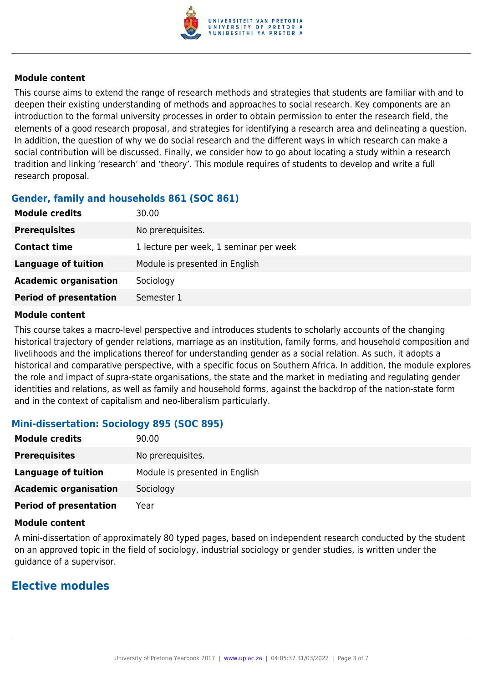

#### **Module content**

This course aims to extend the range of research methods and strategies that students are familiar with and to deepen their existing understanding of methods and approaches to social research. Key components are an introduction to the formal university processes in order to obtain permission to enter the research field, the elements of a good research proposal, and strategies for identifying a research area and delineating a question. In addition, the question of why we do social research and the different ways in which research can make a social contribution will be discussed. Finally, we consider how to go about locating a study within a research tradition and linking 'research' and 'theory'. This module requires of students to develop and write a full research proposal.

# **Gender, family and households 861 (SOC 861)**

| <b>Module credits</b>         | 30.00                                  |
|-------------------------------|----------------------------------------|
| <b>Prerequisites</b>          | No prerequisites.                      |
| <b>Contact time</b>           | 1 lecture per week, 1 seminar per week |
| <b>Language of tuition</b>    | Module is presented in English         |
| <b>Academic organisation</b>  | Sociology                              |
| <b>Period of presentation</b> | Semester 1                             |

#### **Module content**

This course takes a macro-level perspective and introduces students to scholarly accounts of the changing historical trajectory of gender relations, marriage as an institution, family forms, and household composition and livelihoods and the implications thereof for understanding gender as a social relation. As such, it adopts a historical and comparative perspective, with a specific focus on Southern Africa. In addition, the module explores the role and impact of supra-state organisations, the state and the market in mediating and regulating gender identities and relations, as well as family and household forms, against the backdrop of the nation-state form and in the context of capitalism and neo-liberalism particularly.

# **Mini-dissertation: Sociology 895 (SOC 895)**

| <b>Module credits</b>         | 90.00                          |
|-------------------------------|--------------------------------|
| <b>Prerequisites</b>          | No prerequisites.              |
| Language of tuition           | Module is presented in English |
| <b>Academic organisation</b>  | Sociology                      |
| <b>Period of presentation</b> | Year                           |

#### **Module content**

A mini-dissertation of approximately 80 typed pages, based on independent research conducted by the student on an approved topic in the field of sociology, industrial sociology or gender studies, is written under the guidance of a supervisor.

# **Elective modules**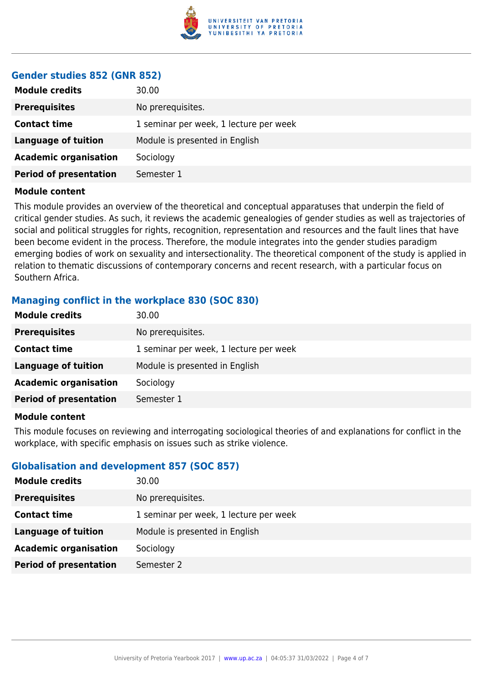

#### **Gender studies 852 (GNR 852)**

| <b>Module credits</b>         | 30.00                                  |
|-------------------------------|----------------------------------------|
| <b>Prerequisites</b>          | No prerequisites.                      |
| <b>Contact time</b>           | 1 seminar per week, 1 lecture per week |
| <b>Language of tuition</b>    | Module is presented in English         |
| <b>Academic organisation</b>  | Sociology                              |
| <b>Period of presentation</b> | Semester 1                             |
|                               |                                        |

#### **Module content**

This module provides an overview of the theoretical and conceptual apparatuses that underpin the field of critical gender studies. As such, it reviews the academic genealogies of gender studies as well as trajectories of social and political struggles for rights, recognition, representation and resources and the fault lines that have been become evident in the process. Therefore, the module integrates into the gender studies paradigm emerging bodies of work on sexuality and intersectionality. The theoretical component of the study is applied in relation to thematic discussions of contemporary concerns and recent research, with a particular focus on Southern Africa.

# **Managing conflict in the workplace 830 (SOC 830)**

| <b>Module credits</b>         | 30.00                                  |
|-------------------------------|----------------------------------------|
| <b>Prerequisites</b>          | No prerequisites.                      |
| <b>Contact time</b>           | 1 seminar per week, 1 lecture per week |
| <b>Language of tuition</b>    | Module is presented in English         |
| <b>Academic organisation</b>  | Sociology                              |
| <b>Period of presentation</b> | Semester 1                             |
|                               |                                        |

#### **Module content**

This module focuses on reviewing and interrogating sociological theories of and explanations for conflict in the workplace, with specific emphasis on issues such as strike violence.

# **Globalisation and development 857 (SOC 857)**

| <b>Module credits</b>         | 30.00                                  |
|-------------------------------|----------------------------------------|
| <b>Prerequisites</b>          | No prerequisites.                      |
| <b>Contact time</b>           | 1 seminar per week, 1 lecture per week |
| <b>Language of tuition</b>    | Module is presented in English         |
| <b>Academic organisation</b>  | Sociology                              |
| <b>Period of presentation</b> | Semester 2                             |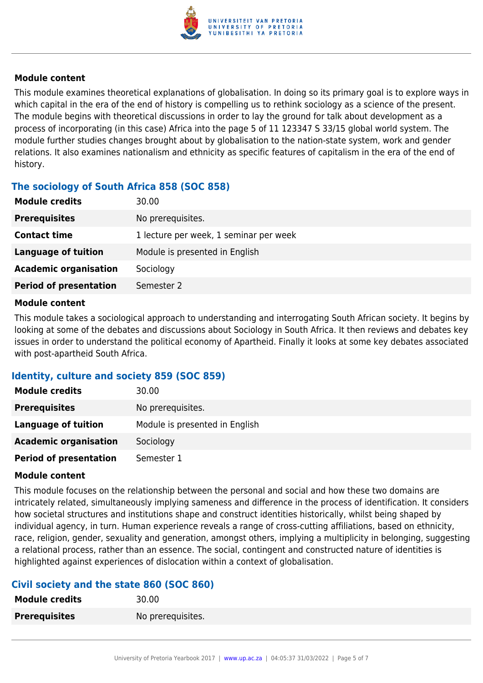

#### **Module content**

This module examines theoretical explanations of globalisation. In doing so its primary goal is to explore ways in which capital in the era of the end of history is compelling us to rethink sociology as a science of the present. The module begins with theoretical discussions in order to lay the ground for talk about development as a process of incorporating (in this case) Africa into the page 5 of 11 123347 S 33/15 global world system. The module further studies changes brought about by globalisation to the nation-state system, work and gender relations. It also examines nationalism and ethnicity as specific features of capitalism in the era of the end of history.

# **The sociology of South Africa 858 (SOC 858)**

| <b>Module credits</b>         | 30.00                                  |
|-------------------------------|----------------------------------------|
| <b>Prerequisites</b>          | No prerequisites.                      |
| <b>Contact time</b>           | 1 lecture per week, 1 seminar per week |
| <b>Language of tuition</b>    | Module is presented in English         |
| <b>Academic organisation</b>  | Sociology                              |
| <b>Period of presentation</b> | Semester 2                             |
|                               |                                        |

#### **Module content**

This module takes a sociological approach to understanding and interrogating South African society. It begins by looking at some of the debates and discussions about Sociology in South Africa. It then reviews and debates key issues in order to understand the political economy of Apartheid. Finally it looks at some key debates associated with post-apartheid South Africa.

# **Identity, culture and society 859 (SOC 859)**

| <b>Module credits</b>         | 30.00                          |
|-------------------------------|--------------------------------|
| <b>Prerequisites</b>          | No prerequisites.              |
| Language of tuition           | Module is presented in English |
| <b>Academic organisation</b>  | Sociology                      |
| <b>Period of presentation</b> | Semester 1                     |

#### **Module content**

This module focuses on the relationship between the personal and social and how these two domains are intricately related, simultaneously implying sameness and difference in the process of identification. It considers how societal structures and institutions shape and construct identities historically, whilst being shaped by individual agency, in turn. Human experience reveals a range of cross-cutting affiliations, based on ethnicity, race, religion, gender, sexuality and generation, amongst others, implying a multiplicity in belonging, suggesting a relational process, rather than an essence. The social, contingent and constructed nature of identities is highlighted against experiences of dislocation within a context of globalisation.

# **Civil society and the state 860 (SOC 860)**

| <b>Module credits</b> | 30.00             |
|-----------------------|-------------------|
| <b>Prerequisites</b>  | No prerequisites. |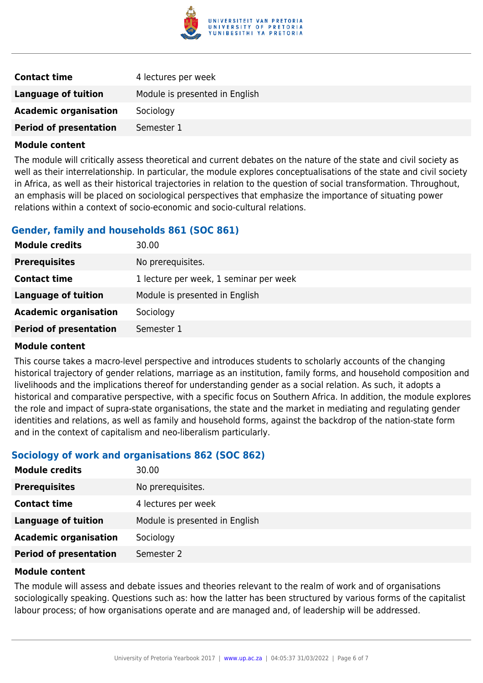

| <b>Contact time</b>           | 4 lectures per week            |
|-------------------------------|--------------------------------|
| Language of tuition           | Module is presented in English |
| <b>Academic organisation</b>  | Sociology                      |
| <b>Period of presentation</b> | Semester 1                     |

#### **Module content**

The module will critically assess theoretical and current debates on the nature of the state and civil society as well as their interrelationship. In particular, the module explores conceptualisations of the state and civil society in Africa, as well as their historical trajectories in relation to the question of social transformation. Throughout, an emphasis will be placed on sociological perspectives that emphasize the importance of situating power relations within a context of socio-economic and socio-cultural relations.

### **Gender, family and households 861 (SOC 861)**

| <b>Module credits</b>         | 30.00                                  |
|-------------------------------|----------------------------------------|
| <b>Prerequisites</b>          | No prerequisites.                      |
| <b>Contact time</b>           | 1 lecture per week, 1 seminar per week |
| <b>Language of tuition</b>    | Module is presented in English         |
| <b>Academic organisation</b>  | Sociology                              |
| <b>Period of presentation</b> | Semester 1                             |

#### **Module content**

This course takes a macro-level perspective and introduces students to scholarly accounts of the changing historical trajectory of gender relations, marriage as an institution, family forms, and household composition and livelihoods and the implications thereof for understanding gender as a social relation. As such, it adopts a historical and comparative perspective, with a specific focus on Southern Africa. In addition, the module explores the role and impact of supra-state organisations, the state and the market in mediating and regulating gender identities and relations, as well as family and household forms, against the backdrop of the nation-state form and in the context of capitalism and neo-liberalism particularly.

#### **Sociology of work and organisations 862 (SOC 862)**

| <b>Module credits</b>         | 30.00                          |
|-------------------------------|--------------------------------|
| <b>Prerequisites</b>          | No prerequisites.              |
| <b>Contact time</b>           | 4 lectures per week            |
| <b>Language of tuition</b>    | Module is presented in English |
| <b>Academic organisation</b>  | Sociology                      |
| <b>Period of presentation</b> | Semester 2                     |

#### **Module content**

The module will assess and debate issues and theories relevant to the realm of work and of organisations sociologically speaking. Questions such as: how the latter has been structured by various forms of the capitalist labour process; of how organisations operate and are managed and, of leadership will be addressed.